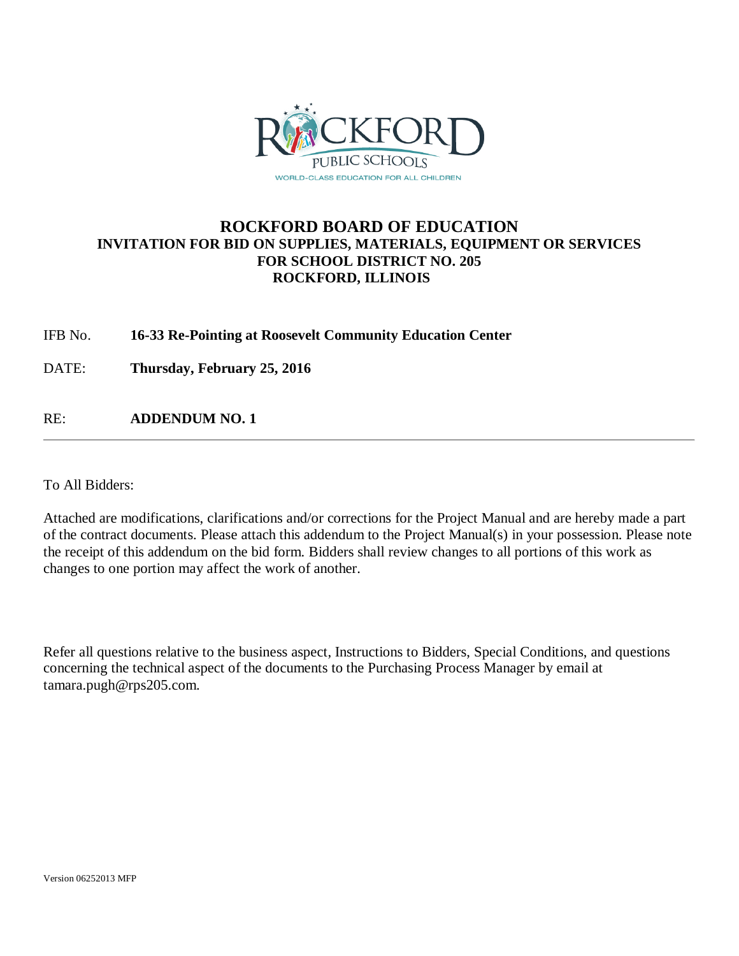

### **ROCKFORD BOARD OF EDUCATION INVITATION FOR BID ON SUPPLIES, MATERIALS, EQUIPMENT OR SERVICES FOR SCHOOL DISTRICT NO. 205 ROCKFORD, ILLINOIS**

### IFB No. **16-33 Re-Pointing at Roosevelt Community Education Center**

DATE: **Thursday, February 25, 2016**

RE: **ADDENDUM NO. 1**

To All Bidders:

Attached are modifications, clarifications and/or corrections for the Project Manual and are hereby made a part of the contract documents. Please attach this addendum to the Project Manual(s) in your possession. Please note the receipt of this addendum on the bid form. Bidders shall review changes to all portions of this work as changes to one portion may affect the work of another.

Refer all questions relative to the business aspect, Instructions to Bidders, Special Conditions, and questions concerning the technical aspect of the documents to the Purchasing Process Manager by email at tamara.pugh@rps205.com.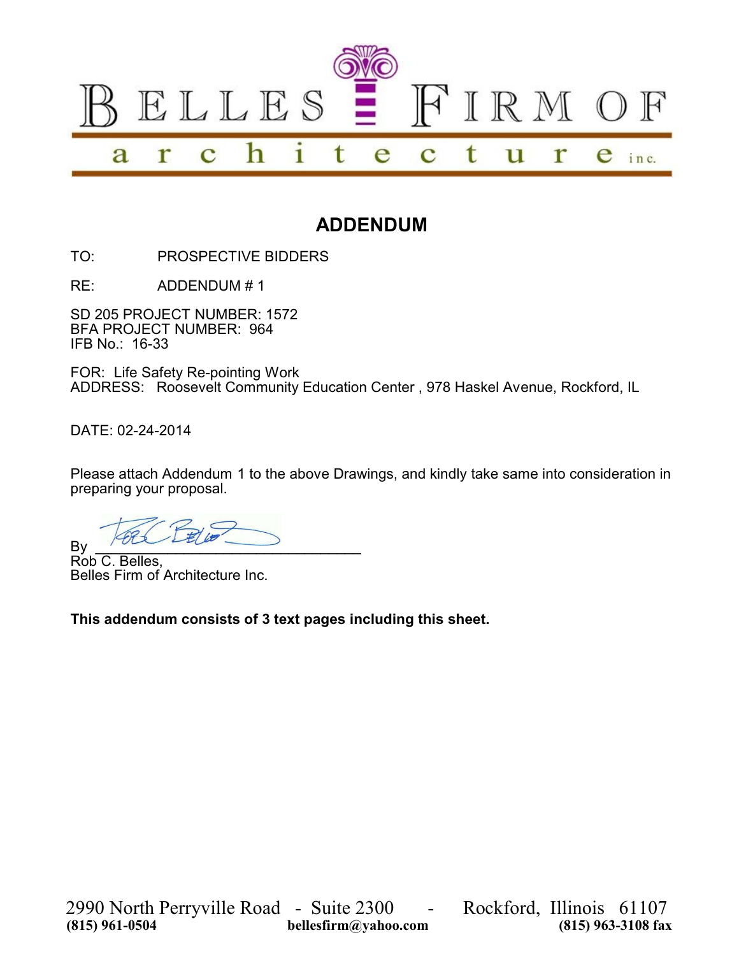

# **ADDENDUM**

TO: PROSPECTIVE BIDDERS

RE: ADDENDUM # 1

SD 205 PROJECT NUMBER: 1572 BFA PROJECT NUMBER: 964 IFB No.: 16-33

FOR: Life Safety Re-pointing Work ADDRESS: Roosevelt Community Education Center , 978 Haskel Avenue, Rockford, IL

DATE: 02-24-2014

Please attach Addendum 1 to the above Drawings, and kindly take same into consideration in preparing your proposal.

 $By \_\_\_\_$ 

Rob C. Belles, Belles Firm of Architecture Inc.

**This addendum consists of 3 text pages including this sheet.**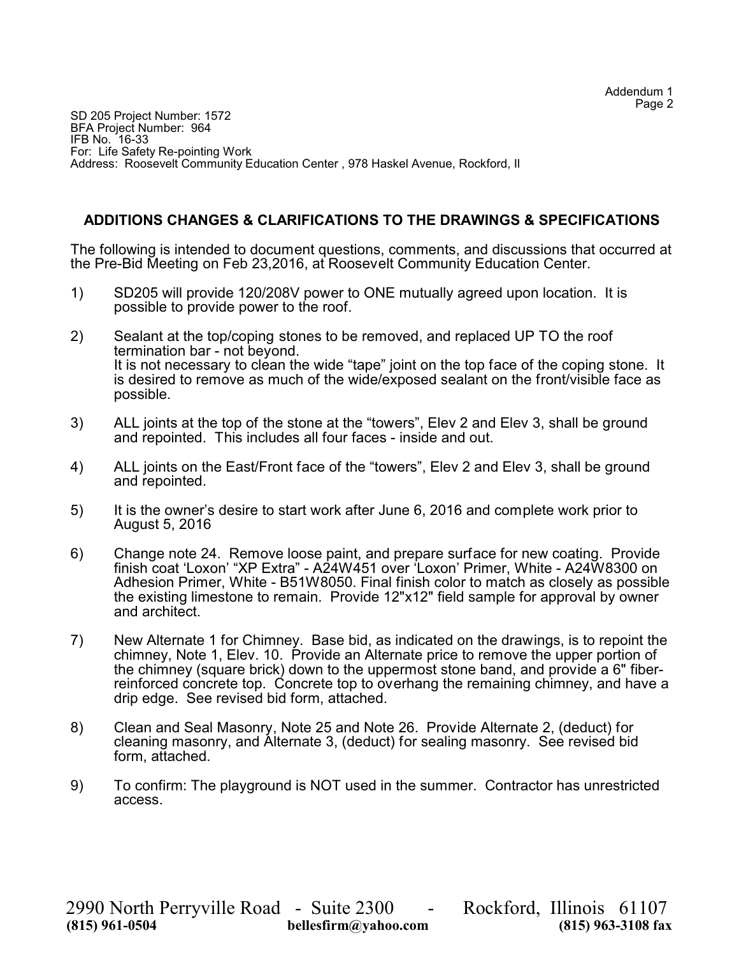SD 205 Project Number: 1572 BFA Project Number: 964 IFB No. 16-33 For: Life Safety Re-pointing Work Address: Roosevelt Community Education Center , 978 Haskel Avenue, Rockford, Il

### **ADDITIONS CHANGES & CLARIFICATIONS TO THE DRAWINGS & SPECIFICATIONS**

The following is intended to document questions, comments, and discussions that occurred at the Pre-Bid Meeting on Feb 23,2016, at Roosevelt Community Education Center.

- 1) SD205 will provide 120/208V power to ONE mutually agreed upon location. It is possible to provide power to the roof.
- 2) Sealant at the top/coping stones to be removed, and replaced UP TO the roof termination bar - not beyond. It is not necessary to clean the wide "tape" joint on the top face of the coping stone. It is desired to remove as much of the wide/exposed sealant on the front/visible face as possible.
- 3) ALL joints at the top of the stone at the "towers", Elev 2 and Elev 3, shall be ground and repointed. This includes all four faces - inside and out.
- 4) ALL joints on the East/Front face of the "towers", Elev 2 and Elev 3, shall be ground and repointed.
- 5) It is the owner's desire to start work after June 6, 2016 and complete work prior to August 5, 2016
- 6) Change note 24. Remove loose paint, and prepare surface for new coating. Provide finish coat 'Loxon' "XP Extra" - A24W451 over 'Loxon' Primer, White - A24W8300 on Adhesion Primer, White - B51W8050. Final finish color to match as closely as possible the existing limestone to remain. Provide 12"x12" field sample for approval by owner and architect.
- 7) New Alternate 1 for Chimney. Base bid, as indicated on the drawings, is to repoint the chimney, Note 1, Elev. 10. Provide an Alternate price to remove the upper portion of the chimney (square brick) down to the uppermost stone band, and provide a 6" fiberreinforced concrete top. Concrete top to overhang the remaining chimney, and have a drip edge. See revised bid form, attached.
- 8) Clean and Seal Masonry, Note 25 and Note 26. Provide Alternate 2, (deduct) for cleaning masonry, and Alternate 3, (deduct) for sealing masonry. See revised bid form, attached.
- 9) To confirm: The playground is NOT used in the summer. Contractor has unrestricted access.

2990 North Perryville Road - Suite 2300 - Rockford, Illinois 61107 **bellesfirm@yahoo.com**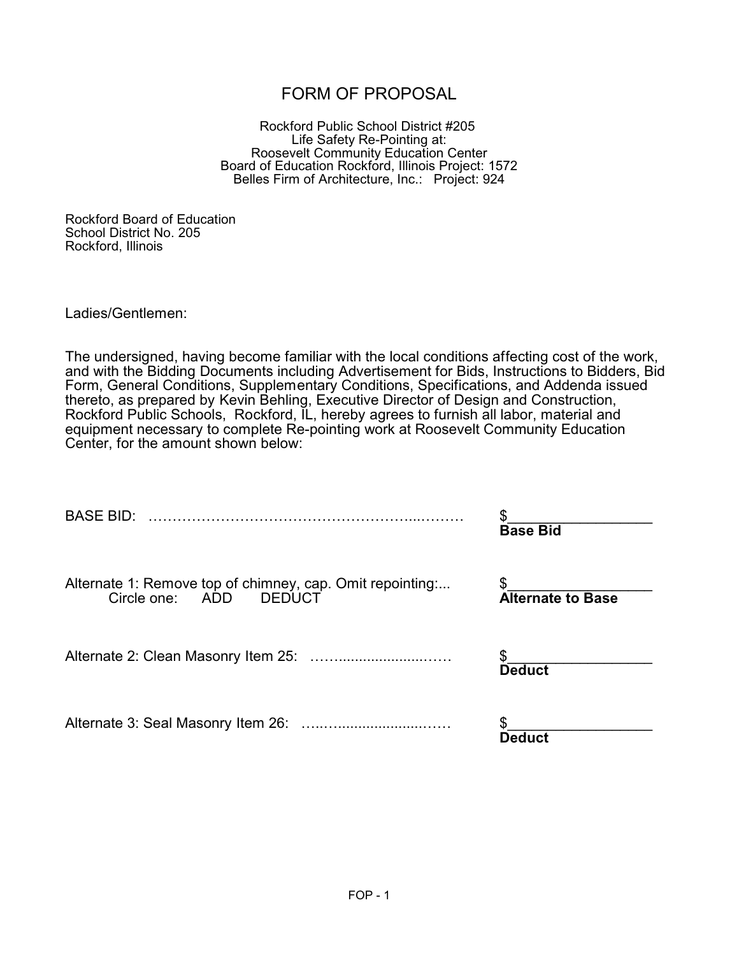## FORM OF PROPOSAL

Rockford Public School District #205 Life Safety Re-Pointing at: Roosevelt Community Education Center Board of Education Rockford, Illinois Project: 1572 Belles Firm of Architecture, Inc.: Project: 924

Rockford Board of Education School District No. 205 Rockford, Illinois

Ladies/Gentlemen:

The undersigned, having become familiar with the local conditions affecting cost of the work, and with the Bidding Documents including Advertisement for Bids, Instructions to Bidders, Bid Form, General Conditions, Supplementary Conditions, Specifications, and Addenda issued thereto, as prepared by Kevin Behling, Executive Director of Design and Construction, Rockford Public Schools, Rockford, IL, hereby agrees to furnish all labor, material and equipment necessary to complete Re-pointing work at Roosevelt Community Education Center, for the amount shown below:

| <b>BASE BID:</b>                                                                             | \$                             |  |  |  |
|----------------------------------------------------------------------------------------------|--------------------------------|--|--|--|
|                                                                                              | <b>Base Bid</b>                |  |  |  |
| Alternate 1: Remove top of chimney, cap. Omit repointing<br>Circle one: ADD<br><b>DEDUCT</b> | \$<br><b>Alternate to Base</b> |  |  |  |
|                                                                                              | <b>Deduct</b>                  |  |  |  |
|                                                                                              | Deduct                         |  |  |  |